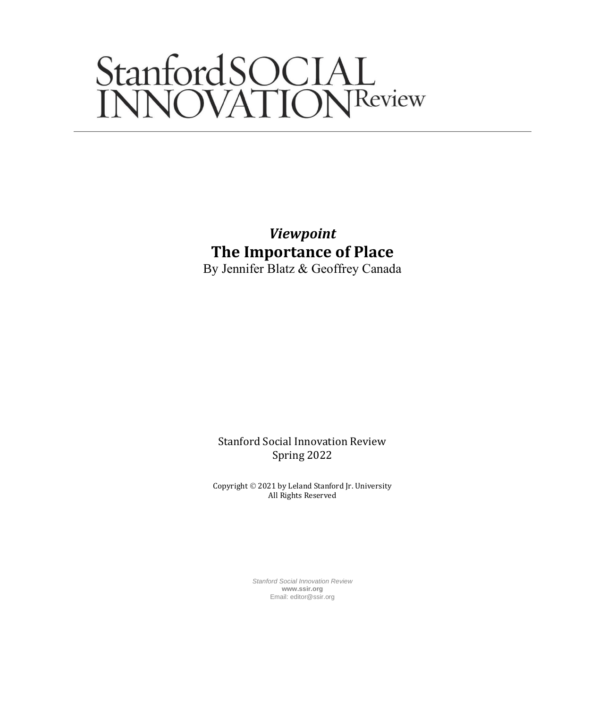# StanfordSOCIAL<br>INNOVATIONReview

*Viewpoint* **The Importance of Place** By Jennifer Blatz & Geoffrey Canada

Stanford Social Innovation Review Spring 2022

Copyright © 2021 by Leland Stanford Jr. University All Rights Reserved

> *Stanford Social Innovation Review* **www.ssir.org** Email: editor@ssir.org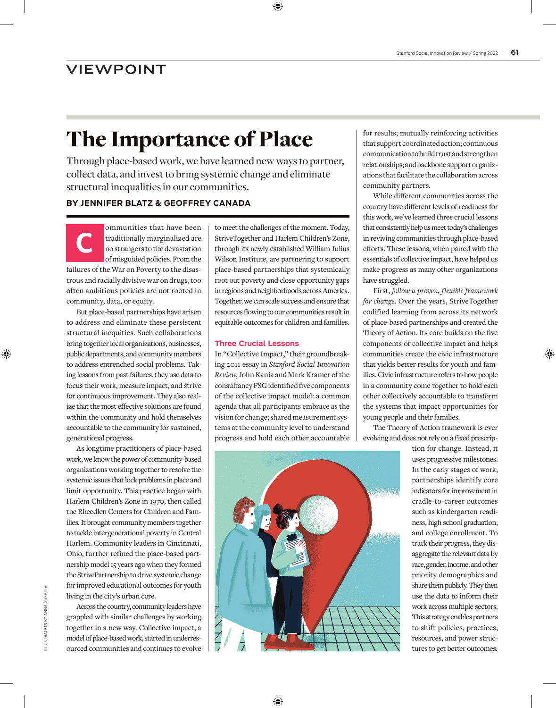## The Importance of Place

Through place-based work, we have learned new ways to partner, collect data, and invest to bring systemic change and eliminate structural inequalities in our communities.

### **BY JENNIFER BLATZ & GEOFFREY CANADA**

ommunities that have been<br>traditionally marginalized are<br>no strangers to the devastation<br>of misguided policies. From the traditionally marginalized are no strangers to the devastation of misguided policies. From the failures of the War on Poverty to the disastrous and racially divisive war on drugs, too often ambitious policies are not rooted in community, data, or equity.

But place-based partnerships have arisen to address and eliminate these persistent structural inequities. Such collaborations bring together local organizations, businesses, public departments, and community members to address entrenched social problems. Taking lessons from past failures, they use data to focus their work, measure impact, and strive for continuous improvement. They also realize that the most effective solutions are found within the community and hold themselves accountable to the community for sustained, generational progress.

As longtime practitioners of place-based work, we know the power of community-based organizations working together to resolve the systemic issues that lock problems in place and limit opportunity. This practice began with Harlem Children's Zone in 1970, then called the Rheedlen Centers for Children and Families. It brought community members together to tackle intergenerational poverty in Central Harlem. Community leaders in Cincinnati, Ohio, further refined the place-based partnership model 15 years ago when they formed the StrivePartnership to drive systemic change for improved educational outcomes for youth living in the city's urban core.

Across the country, community leaders have grappled with similar challenges by working together in a new way. Collective impact, a model of place-based work, started in underresourced communities and continues to evolve

to meet the challenges of the moment. Today, StriveTogether and Harlem Children's Zone, through its newly established William Julius Wilson Institute, are partnering to support place-based partnerships that systemically root out poverty and close opportunity gaps in regions and neighborhoods across America. Together, we can scale success and ensure that resources flowing to our communities result in equitable outcomes for children and families.

#### **Three Crucial Lessons**

In "Collective Impact," their groundbreaking 2011 essay in *Stanford Social Innovation Review*, John Kania and Mark Kramer of the consultancy FSG identified five components of the collective impact model: a common agenda that all participants embrace as the vision for change; shared measurement systems at the community level to understand progress and hold each other accountable

for results; mutually reinforcing activities that support coordinated action; continuous communication to build trust and strengthen relationships; and backbone support organizations that facilitate the collaboration across community partners.

While different communities across the country have different levels of readiness for this work, we've learned three crucial lessons that consistently help us meet today's challenges in reviving communities through place-based efforts. These lessons, when paired with the essentials of collective impact, have helped us make progress as many other organizations have struggled.

First, *follow a proven, flexible framework for change*. Over the years, StriveTogether codified learning from across its network of place-based partnerships and created the Theory of Action. Its core builds on the five components of collective impact and helps communities create the civic infrastructure that yields better results for youth and families. Civic infrastructure refers to how people in a community come together to hold each other collectively accountable to transform the systems that impact opportunities for young people and their families.

The Theory of Action framework is ever evolving and does not rely on a fixed prescrip-



tion for change. Instead, it uses progressive milestones. In the early stages of work, partnerships identify core indicators for improvement in cradle-to-career outcomes such as kindergarten readiness, high school graduation, and college enrollment. To track their progress, they disaggregate the relevant data by race, gender, income, and other priority demographics and share them publicly. They then use the data to inform their work across multiple sectors. This strategy enables partners to shift policies, practices, resources, and power structures to get better outcomes.